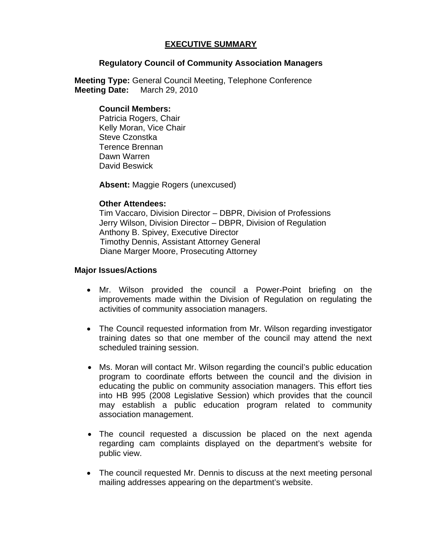# **EXECUTIVE SUMMARY**

### **Regulatory Council of Community Association Managers**

**Meeting Type:** General Council Meeting, Telephone Conference  **Meeting Date:** March 29, 2010

### **Council Members:**

Patricia Rogers, Chair Kelly Moran, Vice Chair Steve Czonstka Terence Brennan Dawn Warren David Beswick

**Absent:** Maggie Rogers (unexcused)

### **Other Attendees:**

Tim Vaccaro, Division Director – DBPR, Division of Professions Jerry Wilson, Division Director – DBPR, Division of Regulation Anthony B. Spivey, Executive Director Timothy Dennis, Assistant Attorney General Diane Marger Moore, Prosecuting Attorney

## **Major Issues/Actions**

- Mr. Wilson provided the council a Power-Point briefing on the improvements made within the Division of Regulation on regulating the activities of community association managers.
- The Council requested information from Mr. Wilson regarding investigator training dates so that one member of the council may attend the next scheduled training session.
- Ms. Moran will contact Mr. Wilson regarding the council's public education program to coordinate efforts between the council and the division in educating the public on community association managers. This effort ties into HB 995 (2008 Legislative Session) which provides that the council may establish a public education program related to community association management.
- The council requested a discussion be placed on the next agenda regarding cam complaints displayed on the department's website for public view.
- The council requested Mr. Dennis to discuss at the next meeting personal mailing addresses appearing on the department's website.